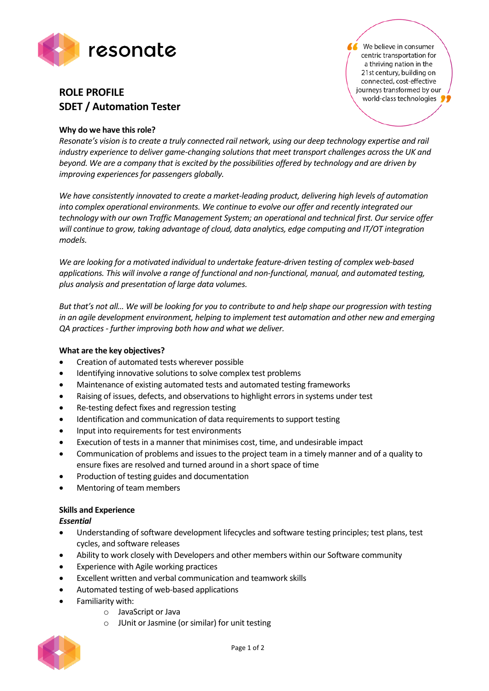

# **ROLE PROFILE SDET / Automation Tester**

We believe in consumer centric transportation for a thriving nation in the 21st century, building on connected, cost-effective journeys transformed by our world-class technologies

## **Why do we have this role?**

*Resonate's vision is to create a truly connected rail network, using our deep technology expertise and rail industry experience to deliver game-changing solutions that meet transport challenges across the UK and beyond. We are a company that is excited by the possibilities offered by technology and are driven by improving experiences for passengers globally.*

*We have consistently innovated to create a market-leading product, delivering high levels of automation into complex operational environments. We continue to evolve our offer and recently integrated our technology with our own Traffic Management System; an operational and technical first. Our service offer will continue to grow, taking advantage of cloud, data analytics, edge computing and IT/OT integration models.*

*We are looking for a motivated individual to undertake feature-driven testing of complex web-based applications. This will involve a range of functional and non-functional, manual, and automated testing, plus analysis and presentation of large data volumes.*

*But that's not all… We will be looking for you to contribute to and help shape our progression with testing in an agile development environment, helping to implement test automation and other new and emerging QA practices - further improving both how and what we deliver.*

### **What are the key objectives?**

- Creation of automated tests wherever possible
- Identifying innovative solutions to solve complex test problems
- Maintenance of existing automated tests and automated testing frameworks
- Raising of issues, defects, and observations to highlight errors in systems under test
- Re-testing defect fixes and regression testing
- Identification and communication of data requirements to support testing
- Input into requirements for test environments
- Execution of tests in a manner that minimises cost, time, and undesirable impact
- Communication of problems and issues to the project team in a timely manner and of a quality to ensure fixes are resolved and turned around in a short space of time
- Production of testing guides and documentation
- Mentoring of team members

### **Skills and Experience**

### *Essential*

- Understanding of software development lifecycles and software testing principles; test plans, test cycles, and software releases
- Ability to work closely with Developers and other members within our Software community
- Experience with Agile working practices
- Excellent written and verbal communication and teamwork skills
- Automated testing of web-based applications
- Familiarity with:
	- o JavaScript or Java
	- o JUnit or Jasmine (or similar) for unit testing